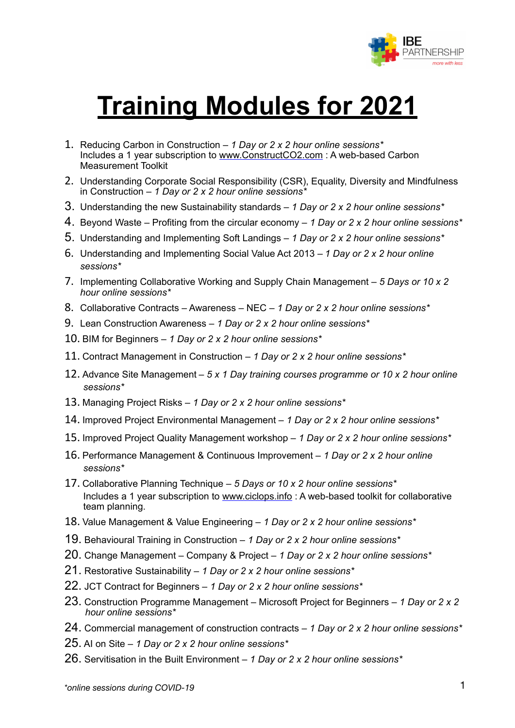

# **Training Modules for 2021**

- 1. Reducing Carbon in Construction *1 Day or 2 x 2 hour online sessions\**  Includes a 1 year subscription to [www.ConstructCO2.com](http://www.ConstructCO2.com) : A web-based Carbon Measurement Toolkit
- 2. Understanding Corporate Social Responsibility (CSR), Equality, Diversity and Mindfulness in Construction – *1 Day or 2 x 2 hour online sessions\**
- 3. Understanding the new Sustainability standards – *1 Day or 2 x 2 hour online sessions\**
- 4. Beyond Waste Profiting from the circular economy *1 Day or 2 x 2 hour online sessions\**
- 5. Understanding and Implementing Soft Landings *1 Day or 2 x 2 hour online sessions\**
- 6. Understanding and Implementing Social Value Act 2013 *1 Day or 2 x 2 hour online sessions\**
- 7. Implementing Collaborative Working and Supply Chain Management *5 Days or 10 x 2 hour online sessions\**
- 8. Collaborative Contracts Awareness NEC *1 Day or 2 x 2 hour online sessions\**
- 9. Lean Construction Awareness *1 Day or 2 x 2 hour online sessions\**
- 10. BIM for Beginners *1 Day or 2 x 2 hour online sessions\**
- 11. Contract Management in Construction *1 Day or 2 x 2 hour online sessions\**
- 12. Advance Site Management – *5 x 1 Day training courses programme or 10 x 2 hour online sessions\**
- 13. Managing Project Risks – *1 Day or 2 x 2 hour online sessions\**
- 14. Improved Project Environmental Management *1 Day or 2 x 2 hour online sessions\**
- 15. Improved Project Quality Management workshop *1 Day or 2 x 2 hour online sessions\**
- 16. Performance Management & Continuous Improvement *1 Day or 2 x 2 hour online sessions\**
- 17. Collaborative Planning Technique *5 Days or 10 x 2 hour online sessions\**  Includes a 1 year subscription to [www.ciclops.info](http://www.ciclops.info) : A web-based toolkit for collaborative team planning.
- 18. Value Management & Value Engineering *1 Day or 2 x 2 hour online sessions\**
- 19. Behavioural Training in Construction *1 Day or 2 x 2 hour online sessions\**
- 20. Change Management Company & Project *1 Day or 2 x 2 hour online sessions\**
- 21. Restorative Sustainability *1 Day or 2 x 2 hour online sessions\**
- 22. JCT Contract for Beginners *1 Day or 2 x 2 hour online sessions\**
- 23. Construction Programme Management Microsoft Project for Beginners *1 Day or 2 x 2 hour online sessions\**
- 24. Commercial management of construction contracts *1 Day or 2 x 2 hour online sessions\**
- 25. AI on Site *1 Day or 2 x 2 hour online sessions\**
- 26. Servitisation in the Built Environment *1 Day or 2 x 2 hour online sessions\**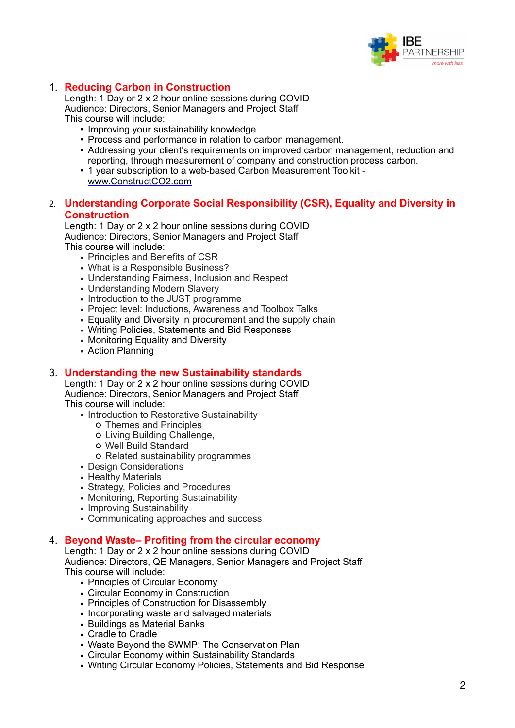

#### 1. **Reducing Carbon in Construction**

Length: 1 Day or 2 x 2 hour online sessions during COVID Audience: Directors, Senior Managers and Project Staff This course will include:

- Improving your sustainability knowledge
- Process and performance in relation to carbon management.
- Addressing your client's requirements on improved carbon management, reduction and reporting, through measurement of company and construction process carbon.
- 1 year subscription to a web-based Carbon Measurement Toolkit [www.ConstructCO2.com](http://www.ConstructCO2.com)

#### 2. **Understanding Corporate Social Responsibility (CSR), Equality and Diversity in Construction**

Length: 1 Day or 2 x 2 hour online sessions during COVID Audience: Directors, Senior Managers and Project Staff This course will include:

- Principles and Benefits of CSR • What is a Responsible Business?
- Understanding Fairness, Inclusion and Respect
- Understanding Modern Slavery
- Introduction to the JUST programme
- Project level: Inductions, Awareness and Toolbox Talks
- Equality and Diversity in procurement and the supply chain
- Writing Policies, Statements and Bid Responses
- Monitoring Equality and Diversity
- Action Planning

#### 3. **Understanding the new Sustainability standards**

Length: 1 Day or 2 x 2 hour online sessions during COVID Audience: Directors, Senior Managers and Project Staff This course will include:

- Introduction to Restorative Sustainability
	- Themes and Principles
	- Living Building Challenge,
	- Well Build Standard
	- Related sustainability programmes
- Design Considerations
- Healthy Materials
- Strategy, Policies and Procedures
- Monitoring, Reporting Sustainability
- Improving Sustainability
- Communicating approaches and success

#### 4. **Beyond Waste– Profiting from the circular economy**

Length: 1 Day or 2 x 2 hour online sessions during COVID Audience: Directors, QE Managers, Senior Managers and Project Staff This course will include:

- Principles of Circular Economy
- Circular Economy in Construction
- Principles of Construction for Disassembly
- Incorporating waste and salvaged materials
- Buildings as Material Banks
- Cradle to Cradle
- Waste Beyond the SWMP: The Conservation Plan
- Circular Economy within Sustainability Standards
- Writing Circular Economy Policies, Statements and Bid Response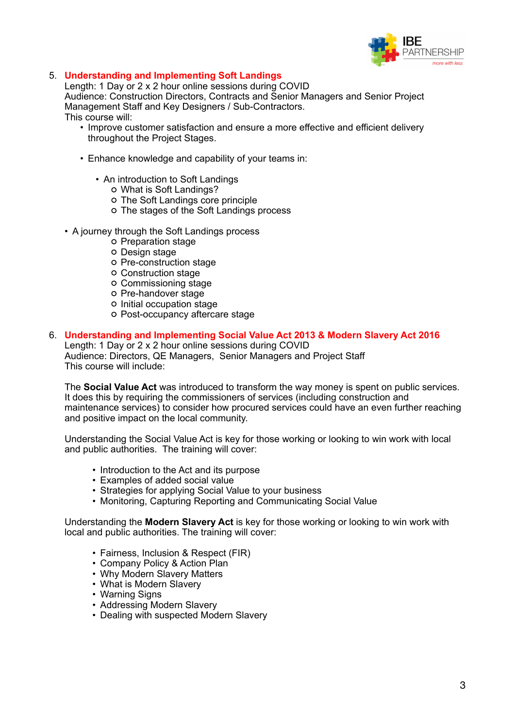

#### 5. **Understanding and Implementing Soft Landings**

Length: 1 Day or 2 x 2 hour online sessions during COVID Audience: Construction Directors, Contracts and Senior Managers and Senior Project Management Staff and Key Designers / Sub-Contractors. This course will:

- Improve customer satisfaction and ensure a more effective and efficient delivery throughout the Project Stages.
- Enhance knowledge and capability of your teams in:
	- An introduction to Soft Landings
		- What is Soft Landings?
		- The Soft Landings core principle
		- The stages of the Soft Landings process
- A journey through the Soft Landings process
	- o Preparation stage
	- o Design stage
	- Pre-construction stage
	- Construction stage
	- Commissioning stage
	- Pre-handover stage
	- Initial occupation stage
	- Post-occupancy aftercare stage

#### 6. **Understanding and Implementing Social Value Act 2013 & Modern Slavery Act 2016**

Length: 1 Day or 2 x 2 hour online sessions during COVID Audience: Directors, QE Managers, Senior Managers and Project Staff This course will include:

The **Social Value Act** was introduced to transform the way money is spent on public services. It does this by requiring the commissioners of services (including construction and maintenance services) to consider how procured services could have an even further reaching and positive impact on the local community.

Understanding the Social Value Act is key for those working or looking to win work with local and public authorities. The training will cover:

- Introduction to the Act and its purpose
- Examples of added social value
- Strategies for applying Social Value to your business
- Monitoring, Capturing Reporting and Communicating Social Value

Understanding the **Modern Slavery Act** is key for those working or looking to win work with local and public authorities. The training will cover:

- Fairness, Inclusion & Respect (FIR)
- Company Policy & Action Plan
- Why Modern Slavery Matters
- What is Modern Slavery
- Warning Signs
- Addressing Modern Slavery
- Dealing with suspected Modern Slavery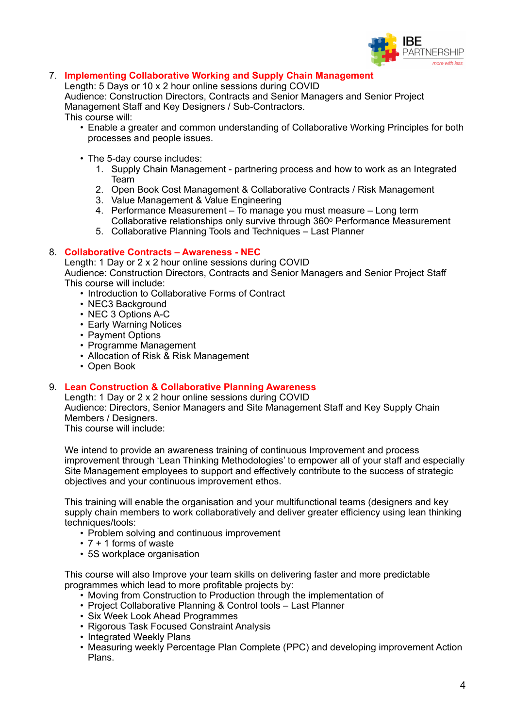

#### 7. **Implementing Collaborative Working and Supply Chain Management**

Length: 5 Days or 10 x 2 hour online sessions during COVID Audience: Construction Directors, Contracts and Senior Managers and Senior Project

Management Staff and Key Designers / Sub-Contractors.

This course will:

- Enable a greater and common understanding of Collaborative Working Principles for both processes and people issues.
- The 5-day course includes:
	- 1. Supply Chain Management partnering process and how to work as an Integrated Team
	- 2. Open Book Cost Management & Collaborative Contracts / Risk Management
	- 3. Value Management & Value Engineering
	- 4. Performance Measurement To manage you must measure Long term Collaborative relationships only survive through 360<sup>°</sup> Performance Measurement
	- 5. Collaborative Planning Tools and Techniques Last Planner

#### 8. **Collaborative Contracts – Awareness - NEC**

Length: 1 Day or 2 x 2 hour online sessions during COVID Audience: Construction Directors, Contracts and Senior Managers and Senior Project Staff This course will include:

- Introduction to Collaborative Forms of Contract
- NEC3 Background
- NEC 3 Options A-C
- Early Warning Notices
- Payment Options
- Programme Management
- Allocation of Risk & Risk Management
- Open Book

#### 9. **Lean Construction & Collaborative Planning Awareness**

Length: 1 Day or 2 x 2 hour online sessions during COVID Audience: Directors, Senior Managers and Site Management Staff and Key Supply Chain Members / Designers.

This course will include:

We intend to provide an awareness training of continuous Improvement and process improvement through 'Lean Thinking Methodologies' to empower all of your staff and especially Site Management employees to support and effectively contribute to the success of strategic objectives and your continuous improvement ethos.

This training will enable the organisation and your multifunctional teams (designers and key supply chain members to work collaboratively and deliver greater efficiency using lean thinking techniques/tools:

- Problem solving and continuous improvement
- 7 + 1 forms of waste
- 5S workplace organisation

This course will also Improve your team skills on delivering faster and more predictable programmes which lead to more profitable projects by:

- Moving from Construction to Production through the implementation of
- Project Collaborative Planning & Control tools Last Planner
- Six Week Look Ahead Programmes
- Rigorous Task Focused Constraint Analysis
- Integrated Weekly Plans
- Measuring weekly Percentage Plan Complete (PPC) and developing improvement Action Plans.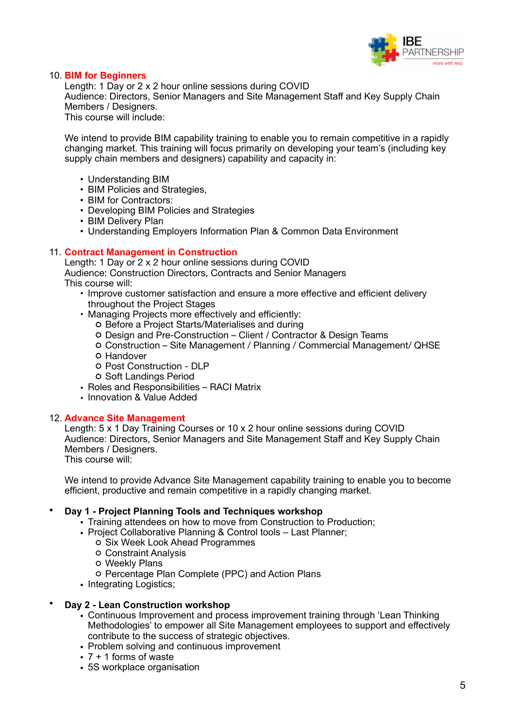

#### 10. **BIM for Beginners**

Length: 1 Day or 2 x 2 hour online sessions during COVID Audience: Directors, Senior Managers and Site Management Staff and Key Supply Chain Members / Designers. This course will include:

We intend to provide BIM capability training to enable you to remain competitive in a rapidly changing market. This training will focus primarily on developing your team's (including key supply chain members and designers) capability and capacity in:

- Understanding BIM
- BIM Policies and Strategies,
- BIM for Contractors:
- Developing BIM Policies and Strategies
- BIM Delivery Plan
- Understanding Employers Information Plan & Common Data Environment

#### 11. **Contract Management in Construction**

Length: 1 Day or 2 x 2 hour online sessions during COVID Audience: Construction Directors, Contracts and Senior Managers This course will:

- Improve customer satisfaction and ensure a more effective and efficient delivery throughout the Project Stages
- Managing Projects more effectively and efficiently:
	- Before a Project Starts/Materialises and during
		- Design and Pre-Construction Client / Contractor & Design Teams
		- Construction Site Management / Planning / Commercial Management/ QHSE
		- **O** Handover
		- Post Construction DLP
		- o Soft Landings Period
- Roles and Responsibilities RACI Matrix
- Innovation & Value Added

#### 12. **Advance Site Management**

Length: 5 x 1 Day Training Courses or 10 x 2 hour online sessions during COVID Audience: Directors, Senior Managers and Site Management Staff and Key Supply Chain Members / Designers.

This course will:

We intend to provide Advance Site Management capability training to enable you to become efficient, productive and remain competitive in a rapidly changing market.

#### • **Day 1 - Project Planning Tools and Techniques workshop**

- Training attendees on how to move from Construction to Production;
- Project Collaborative Planning & Control tools Last Planner;
	- o Six Week Look Ahead Programmes
	- Constraint Analysis
	- Weekly Plans
	- Percentage Plan Complete (PPC) and Action Plans
- Integrating Logistics;

#### • **Day 2 - Lean Construction workshop**

- Continuous Improvement and process improvement training through 'Lean Thinking Methodologies' to empower all Site Management employees to support and effectively contribute to the success of strategic objectives.
- Problem solving and continuous improvement
- $\cdot$  7 + 1 forms of waste
- 5S workplace organisation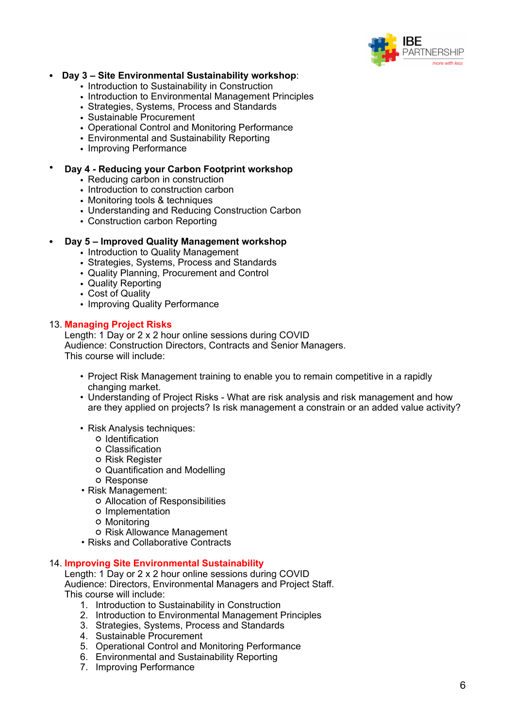

#### • **Day 3 – Site Environmental Sustainability workshop**:

- Introduction to Sustainability in Construction
- Introduction to Environmental Management Principles
- Strategies, Systems, Process and Standards
- Sustainable Procurement
- Operational Control and Monitoring Performance
- Environmental and Sustainability Reporting
- Improving Performance

#### • **Day 4 - Reducing your Carbon Footprint workshop**

- Reducing carbon in construction
- *•* Introduction to construction carbon
- *•* Monitoring tools & techniques
- *•* Understanding and Reducing Construction Carbon
- Construction carbon Reporting

#### • **Day 5 – Improved Quality Management workshop**

- Introduction to Quality Management
- Strategies, Systems, Process and Standards
- Quality Planning, Procurement and Control
- Quality Reporting
- Cost of Quality
- Improving Quality Performance

#### 13. **Managing Project Risks**

Length: 1 Day or 2 x 2 hour online sessions during COVID Audience: Construction Directors, Contracts and Senior Managers. This course will include:

- Project Risk Management training to enable you to remain competitive in a rapidly changing market.
- Understanding of Project Risks What are risk analysis and risk management and how are they applied on projects? Is risk management a constrain or an added value activity?
- Risk Analysis techniques:
	- Identification
	- Classification
	- o Risk Register
	- Quantification and Modelling
	- Response
- Risk Management:
	- Allocation of Responsibilities
	- o Implementation
	- Monitoring
- o Risk Allowance Management
- Risks and Collaborative Contracts

#### 14. **Improving Site Environmental Sustainability**

Length: 1 Day or 2 x 2 hour online sessions during COVID Audience: Directors, Environmental Managers and Project Staff. This course will include:

- 1. Introduction to Sustainability in Construction
- 2. Introduction to Environmental Management Principles
- 3. Strategies, Systems, Process and Standards
- 4. Sustainable Procurement
- 5. Operational Control and Monitoring Performance
- 6. Environmental and Sustainability Reporting
- 7. Improving Performance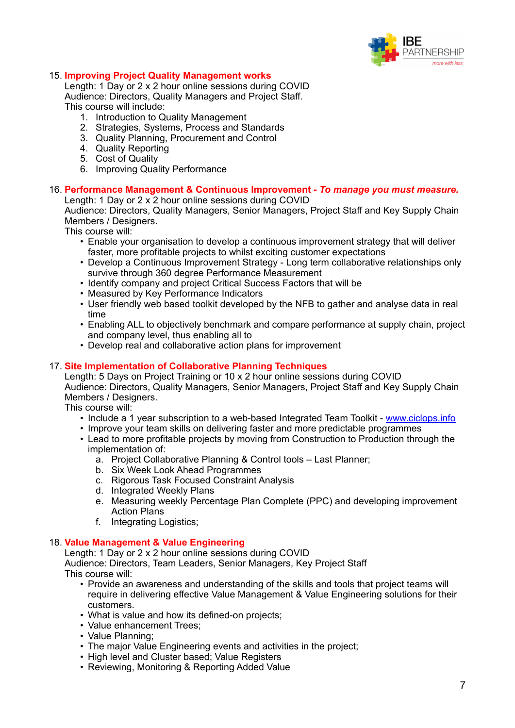

#### 15. **Improving Project Quality Management works**

Length: 1 Day or 2 x 2 hour online sessions during COVID Audience: Directors, Quality Managers and Project Staff. This course will include:

- 1. Introduction to Quality Management
- 2. Strategies, Systems, Process and Standards
- 3. Quality Planning, Procurement and Control
- 4. Quality Reporting
- 5. Cost of Quality
- 6. Improving Quality Performance

### 16. **Performance Management & Continuous Improvement -** *To manage you must measure.*

Length: 1 Day or 2 x 2 hour online sessions during COVID

Audience: Directors, Quality Managers, Senior Managers, Project Staff and Key Supply Chain Members / Designers.

This course will:

- Enable your organisation to develop a continuous improvement strategy that will deliver faster, more profitable projects to whilst exciting customer expectations
- Develop a Continuous Improvement Strategy Long term collaborative relationships only survive through 360 degree Performance Measurement
- Identify company and project Critical Success Factors that will be
- Measured by Key Performance Indicators
- User friendly web based toolkit developed by the NFB to gather and analyse data in real time
- Enabling ALL to objectively benchmark and compare performance at supply chain, project and company level, thus enabling all to
- Develop real and collaborative action plans for improvement

#### 17. **Site Implementation of Collaborative Planning Techniques**

Length: 5 Days on Project Training or 10 x 2 hour online sessions during COVID Audience: Directors, Quality Managers, Senior Managers, Project Staff and Key Supply Chain Members / Designers.

This course will:

- Include a 1 year subscription to a web-based Integrated Team Toolkit - [www.ciclops.info](http://www.ciclops.info)
- Improve your team skills on delivering faster and more predictable programmes
- Lead to more profitable projects by moving from Construction to Production through the implementation of:
	- a. Project Collaborative Planning & Control tools Last Planner;
	- b. Six Week Look Ahead Programmes
	- c. Rigorous Task Focused Constraint Analysis
	- d. Integrated Weekly Plans
	- e. Measuring weekly Percentage Plan Complete (PPC) and developing improvement Action Plans
	- f. Integrating Logistics;

#### 18. **Value Management & Value Engineering**

Length: 1 Day or 2 x 2 hour online sessions during COVID Audience: Directors, Team Leaders, Senior Managers, Key Project Staff This course will:

- Provide an awareness and understanding of the skills and tools that project teams will require in delivering effective Value Management & Value Engineering solutions for their customers.
- What is value and how its defined-on projects;
- Value enhancement Trees;
- Value Planning;
- The major Value Engineering events and activities in the project;
- High level and Cluster based; Value Registers
- Reviewing, Monitoring & Reporting Added Value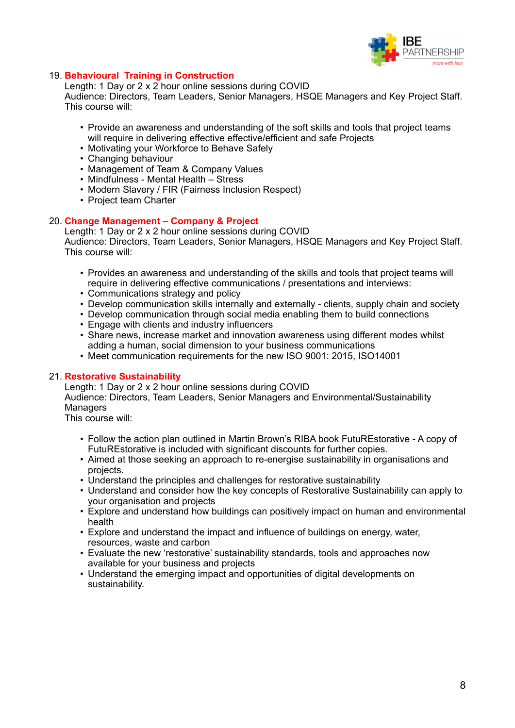

#### 19. **Behavioural Training in Construction**

Length: 1 Day or 2 x 2 hour online sessions during COVID

Audience: Directors, Team Leaders, Senior Managers, HSQE Managers and Key Project Staff. This course will:

- Provide an awareness and understanding of the soft skills and tools that project teams will require in delivering effective effective/efficient and safe Projects
- Motivating your Workforce to Behave Safely
- Changing behaviour
- Management of Team & Company Values
- Mindfulness Mental Health Stress
- Modern Slavery / FIR (Fairness Inclusion Respect)
- Project team Charter

#### 20. **Change Management – Company & Project**

Length: 1 Day or 2 x 2 hour online sessions during COVID Audience: Directors, Team Leaders, Senior Managers, HSQE Managers and Key Project Staff. This course will:

- Provides an awareness and understanding of the skills and tools that project teams will require in delivering effective communications / presentations and interviews:
- Communications strategy and policy
- Develop communication skills internally and externally clients, supply chain and society
- Develop communication through social media enabling them to build connections
- Engage with clients and industry influencers
- Share news, increase market and innovation awareness using different modes whilst adding a human, social dimension to your business communications
- Meet communication requirements for the new ISO 9001: 2015, ISO14001

#### 21. **Restorative Sustainability**

Length: 1 Day or 2 x 2 hour online sessions during COVID Audience: Directors, Team Leaders, Senior Managers and Environmental/Sustainability **Managers** 

This course will:

- Follow the action plan outlined in Martin Brown's RIBA book FutuREstorative A copy of FutuREstorative is included with significant discounts for further copies.
- Aimed at those seeking an approach to re-energise sustainability in organisations and projects.
- Understand the principles and challenges for restorative sustainability
- Understand and consider how the key concepts of Restorative Sustainability can apply to your organisation and projects
- Explore and understand how buildings can positively impact on human and environmental health
- Explore and understand the impact and influence of buildings on energy, water, resources, waste and carbon
- Evaluate the new 'restorative' sustainability standards, tools and approaches now available for your business and projects
- Understand the emerging impact and opportunities of digital developments on sustainability.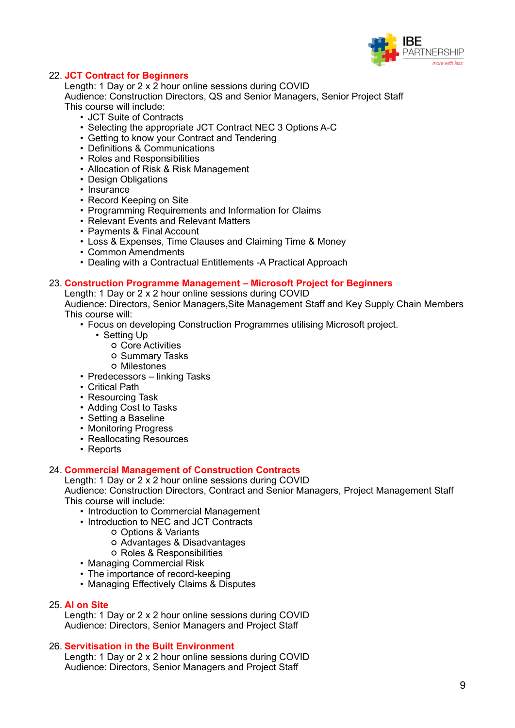

#### 22. **JCT Contract for Beginners**

Length: 1 Day or 2 x 2 hour online sessions during COVID Audience: Construction Directors, QS and Senior Managers, Senior Project Staff This course will include:

- JCT Suite of Contracts
- Selecting the appropriate JCT Contract NEC 3 Options A-C
- Getting to know your Contract and Tendering
- Definitions & Communications
- Roles and Responsibilities
- Allocation of Risk & Risk Management
- Design Obligations
- Insurance
- Record Keeping on Site
- Programming Requirements and Information for Claims
- Relevant Events and Relevant Matters
- Payments & Final Account
- Loss & Expenses, Time Clauses and Claiming Time & Money
- Common Amendments
- Dealing with a Contractual Entitlements -A Practical Approach

#### 23. **Construction Programme Management – Microsoft Project for Beginners**

Length: 1 Day or 2 x 2 hour online sessions during COVID

Audience: Directors, Senior Managers,Site Management Staff and Key Supply Chain Members This course will:

- Focus on developing Construction Programmes utilising Microsoft project.
	- Setting Up
		- Core Activities
		- o Summary Tasks
		- Milestones
- Predecessors linking Tasks
- Critical Path
- Resourcing Task
- Adding Cost to Tasks
- Setting a Baseline
- Monitoring Progress
- Reallocating Resources
- Reports

#### 24. **Commercial Management of Construction Contracts**

Length: 1 Day or 2 x 2 hour online sessions during COVID Audience: Construction Directors, Contract and Senior Managers, Project Management Staff This course will include:

- Introduction to Commercial Management
- Introduction to NEC and JCT Contracts
	- Options & Variants
	- Advantages & Disadvantages
	- Roles & Responsibilities
- Managing Commercial Risk
- The importance of record-keeping
- Managing Effectively Claims & Disputes

#### 25. **AI on Site**

Length: 1 Day or 2 x 2 hour online sessions during COVID Audience: Directors, Senior Managers and Project Staff

#### 26. **Servitisation in the Built Environment**

Length: 1 Day or 2 x 2 hour online sessions during COVID Audience: Directors, Senior Managers and Project Staff